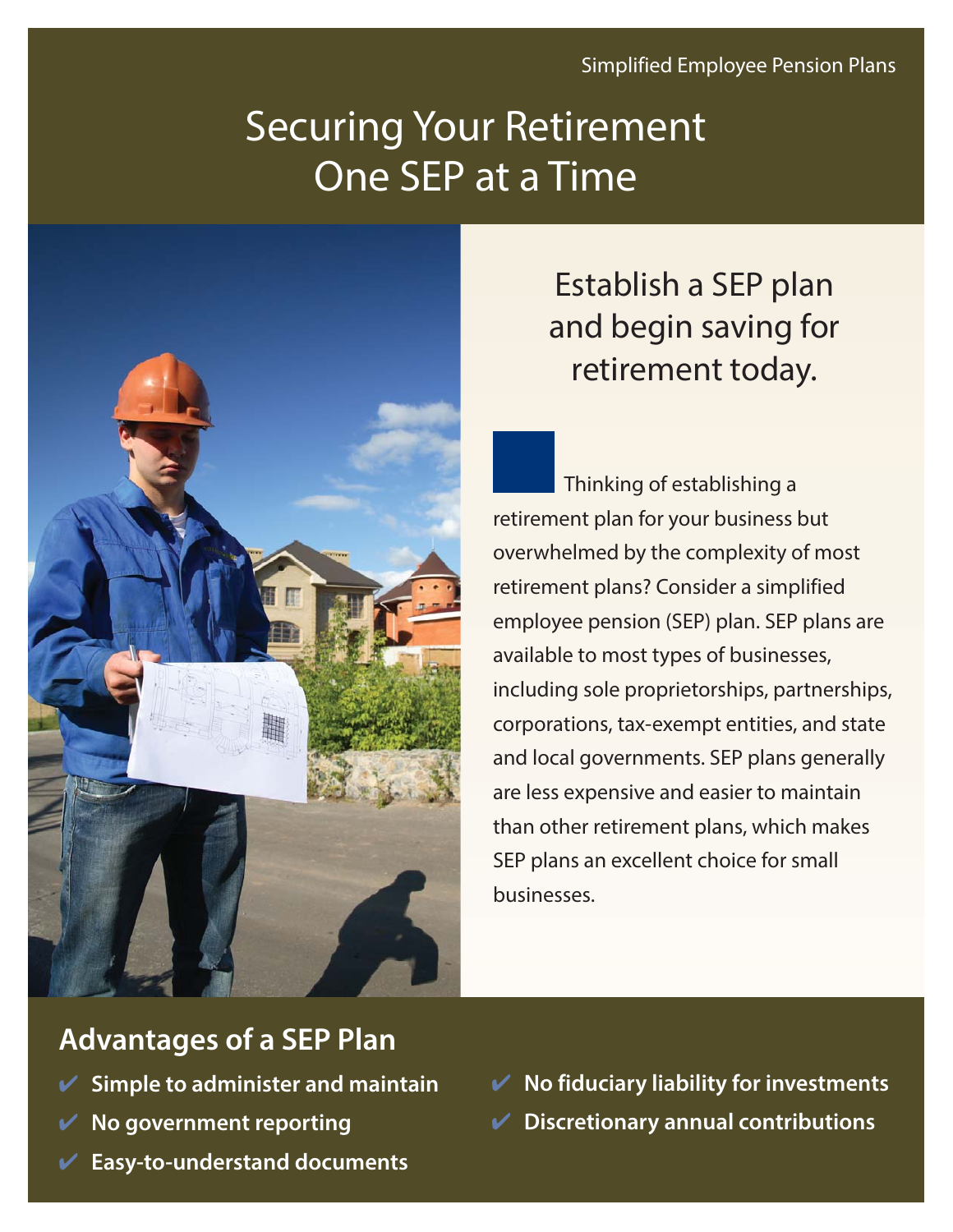# Securing Your Retirement One SEP at a Time



## Establish a SEP plan and begin saving for retirement today.

Thinking of establishing a retirement plan for your business but overwhelmed by the complexity of most retirement plans? Consider a simplified employee pension (SEP) plan. SEP plans are available to most types of businesses, including sole proprietorships, partnerships, corporations, tax-exempt entities, and state and local governments. SEP plans generally are less expensive and easier to maintain than other retirement plans, which makes SEP plans an excellent choice for small businesses.

### **Advantages of a SEP Plan**

- ✔ **Simple to administer and maintain**
- ✔ **No government reporting**
- ✔ **Easy-to-understand documents**

✔ **No fiduciary liability for investments** ✔ **Discretionary annual contributions**